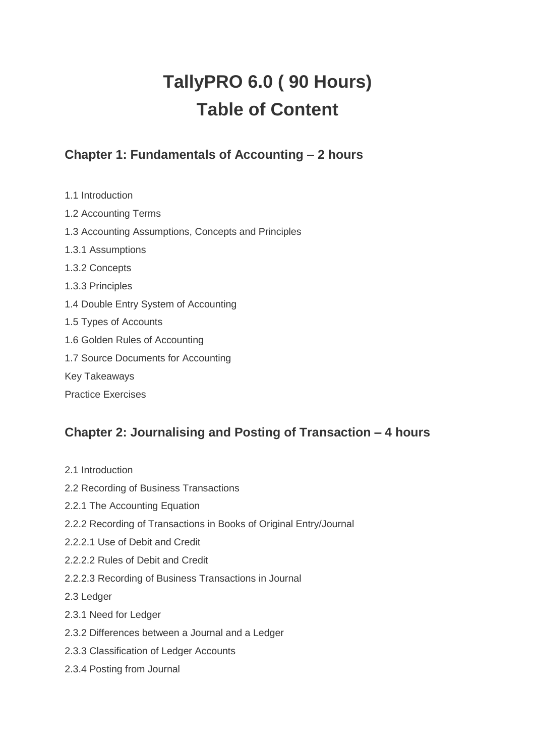# **TallyPRO 6.0 ( 90 Hours) Table of Content**

# **Chapter 1: Fundamentals of Accounting – 2 hours**

1.1 Introduction 1.2 Accounting Terms 1.3 Accounting Assumptions, Concepts and Principles 1.3.1 Assumptions 1.3.2 Concepts 1.3.3 Principles 1.4 Double Entry System of Accounting 1.5 Types of Accounts 1.6 Golden Rules of Accounting 1.7 Source Documents for Accounting Key Takeaways Practice Exercises

# **Chapter 2: Journalising and Posting of Transaction – 4 hours**

- 2.1 Introduction
- 2.2 Recording of Business Transactions
- 2.2.1 The Accounting Equation
- 2.2.2 Recording of Transactions in Books of Original Entry/Journal
- 2.2.2.1 Use of Debit and Credit
- 2.2.2.2 Rules of Debit and Credit
- 2.2.2.3 Recording of Business Transactions in Journal
- 2.3 Ledger
- 2.3.1 Need for Ledger
- 2.3.2 Differences between a Journal and a Ledger
- 2.3.3 Classification of Ledger Accounts
- 2.3.4 Posting from Journal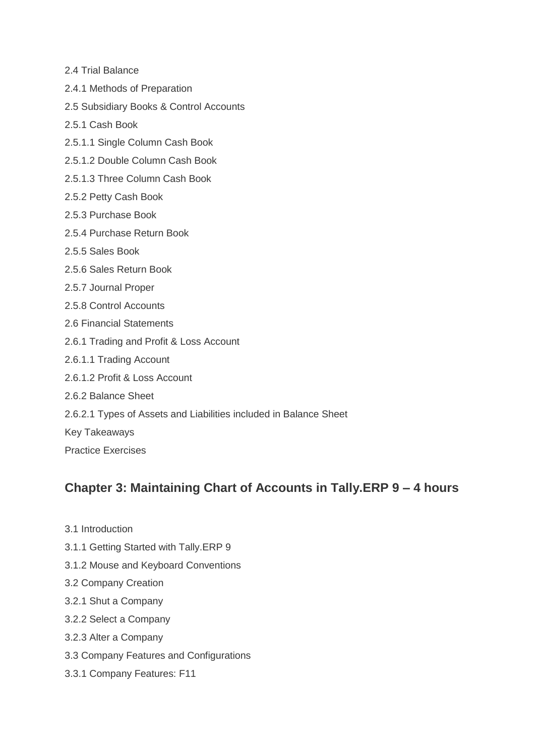- 2.4 Trial Balance
- 2.4.1 Methods of Preparation
- 2.5 Subsidiary Books & Control Accounts
- 2.5.1 Cash Book
- 2.5.1.1 Single Column Cash Book
- 2.5.1.2 Double Column Cash Book
- 2.5.1.3 Three Column Cash Book
- 2.5.2 Petty Cash Book
- 2.5.3 Purchase Book
- 2.5.4 Purchase Return Book
- 2.5.5 Sales Book
- 2.5.6 Sales Return Book
- 2.5.7 Journal Proper
- 2.5.8 Control Accounts
- 2.6 Financial Statements
- 2.6.1 Trading and Profit & Loss Account
- 2.6.1.1 Trading Account
- 2.6.1.2 Profit & Loss Account
- 2.6.2 Balance Sheet
- 2.6.2.1 Types of Assets and Liabilities included in Balance Sheet
- Key Takeaways
- Practice Exercises

#### **Chapter 3: Maintaining Chart of Accounts in Tally.ERP 9 – 4 hours**

- 3.1 Introduction
- 3.1.1 Getting Started with Tally.ERP 9
- 3.1.2 Mouse and Keyboard Conventions
- 3.2 Company Creation
- 3.2.1 Shut a Company
- 3.2.2 Select a Company
- 3.2.3 Alter a Company
- 3.3 Company Features and Configurations
- 3.3.1 Company Features: F11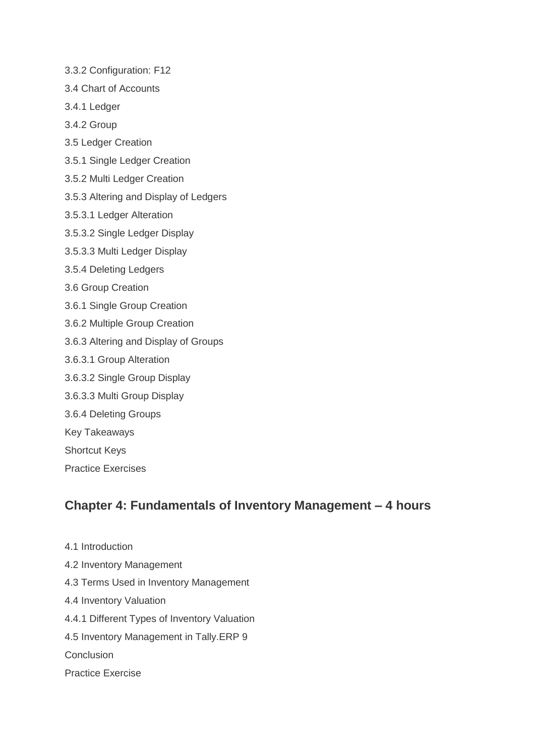- 3.3.2 Configuration: F12
- 3.4 Chart of Accounts
- 3.4.1 Ledger
- 3.4.2 Group
- 3.5 Ledger Creation
- 3.5.1 Single Ledger Creation
- 3.5.2 Multi Ledger Creation
- 3.5.3 Altering and Display of Ledgers
- 3.5.3.1 Ledger Alteration
- 3.5.3.2 Single Ledger Display
- 3.5.3.3 Multi Ledger Display
- 3.5.4 Deleting Ledgers
- 3.6 Group Creation
- 3.6.1 Single Group Creation
- 3.6.2 Multiple Group Creation
- 3.6.3 Altering and Display of Groups
- 3.6.3.1 Group Alteration
- 3.6.3.2 Single Group Display
- 3.6.3.3 Multi Group Display
- 3.6.4 Deleting Groups
- Key Takeaways
- Shortcut Keys
- Practice Exercises

### **Chapter 4: Fundamentals of Inventory Management – 4 hours**

- 4.1 Introduction
- 4.2 Inventory Management
- 4.3 Terms Used in Inventory Management
- 4.4 Inventory Valuation
- 4.4.1 Different Types of Inventory Valuation
- 4.5 Inventory Management in Tally.ERP 9
- **Conclusion**
- Practice Exercise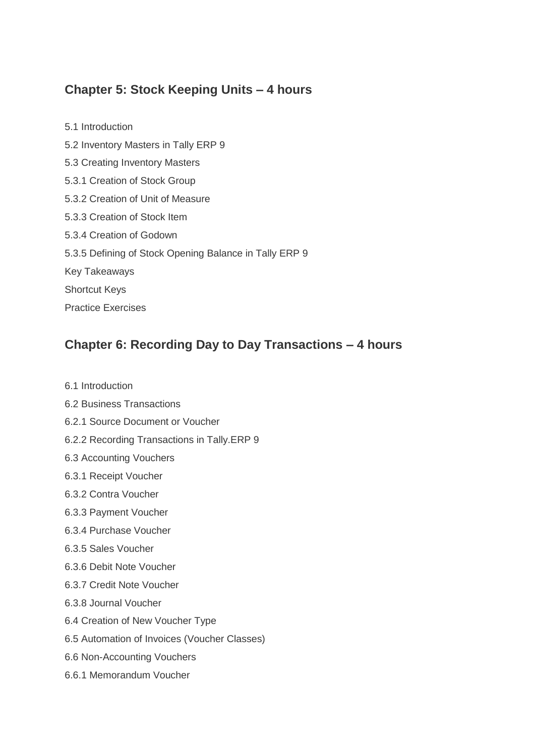# **Chapter 5: Stock Keeping Units – 4 hours**

5.1 Introduction 5.2 Inventory Masters in Tally ERP 9 5.3 Creating Inventory Masters 5.3.1 Creation of Stock Group 5.3.2 Creation of Unit of Measure 5.3.3 Creation of Stock Item 5.3.4 Creation of Godown 5.3.5 Defining of Stock Opening Balance in Tally ERP 9 Key Takeaways Shortcut Keys Practice Exercises

## **Chapter 6: Recording Day to Day Transactions – 4 hours**

- 6.1 Introduction
- 6.2 Business Transactions
- 6.2.1 Source Document or Voucher
- 6.2.2 Recording Transactions in Tally.ERP 9
- 6.3 Accounting Vouchers
- 6.3.1 Receipt Voucher
- 6.3.2 Contra Voucher
- 6.3.3 Payment Voucher
- 6.3.4 Purchase Voucher
- 6.3.5 Sales Voucher
- 6.3.6 Debit Note Voucher
- 6.3.7 Credit Note Voucher
- 6.3.8 Journal Voucher
- 6.4 Creation of New Voucher Type
- 6.5 Automation of Invoices (Voucher Classes)
- 6.6 Non-Accounting Vouchers
- 6.6.1 Memorandum Voucher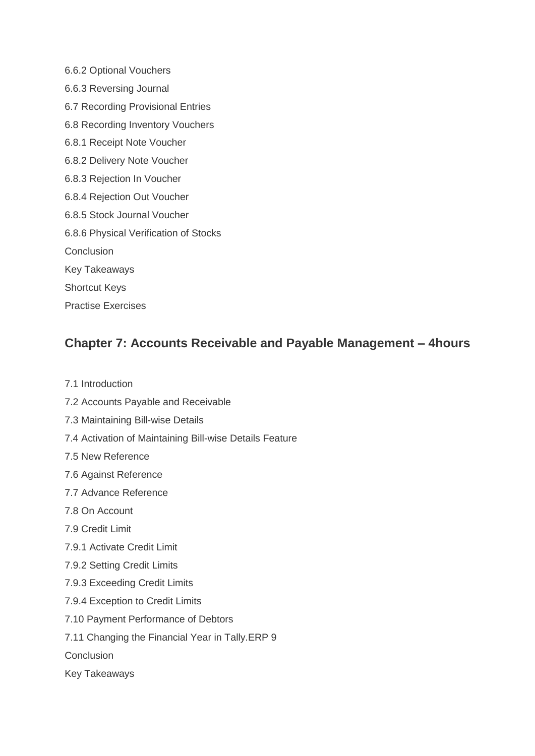6.6.2 Optional Vouchers 6.6.3 Reversing Journal 6.7 Recording Provisional Entries 6.8 Recording Inventory Vouchers 6.8.1 Receipt Note Voucher 6.8.2 Delivery Note Voucher 6.8.3 Rejection In Voucher 6.8.4 Rejection Out Voucher 6.8.5 Stock Journal Voucher 6.8.6 Physical Verification of Stocks **Conclusion** Key Takeaways Shortcut Keys

# **Chapter 7: Accounts Receivable and Payable Management – 4hours**

7.1 Introduction

Practise Exercises

- 7.2 Accounts Payable and Receivable
- 7.3 Maintaining Bill-wise Details
- 7.4 Activation of Maintaining Bill-wise Details Feature
- 7.5 New Reference
- 7.6 Against Reference
- 7.7 Advance Reference
- 7.8 On Account
- 7.9 Credit Limit
- 7.9.1 Activate Credit Limit
- 7.9.2 Setting Credit Limits
- 7.9.3 Exceeding Credit Limits
- 7.9.4 Exception to Credit Limits
- 7.10 Payment Performance of Debtors
- 7.11 Changing the Financial Year in Tally.ERP 9
- **Conclusion**
- Key Takeaways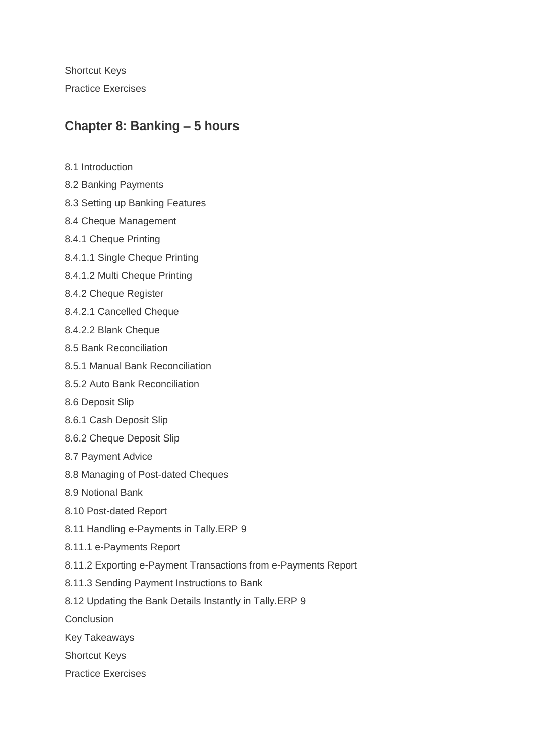Shortcut Keys Practice Exercises

#### **Chapter 8: Banking – 5 hours**

- 8.1 Introduction
- 8.2 Banking Payments
- 8.3 Setting up Banking Features
- 8.4 Cheque Management
- 8.4.1 Cheque Printing
- 8.4.1.1 Single Cheque Printing
- 8.4.1.2 Multi Cheque Printing
- 8.4.2 Cheque Register
- 8.4.2.1 Cancelled Cheque
- 8.4.2.2 Blank Cheque
- 8.5 Bank Reconciliation
- 8.5.1 Manual Bank Reconciliation
- 8.5.2 Auto Bank Reconciliation
- 8.6 Deposit Slip
- 8.6.1 Cash Deposit Slip
- 8.6.2 Cheque Deposit Slip
- 8.7 Payment Advice
- 8.8 Managing of Post-dated Cheques
- 8.9 Notional Bank
- 8.10 Post-dated Report
- 8.11 Handling e-Payments in Tally.ERP 9
- 8.11.1 e-Payments Report
- 8.11.2 Exporting e-Payment Transactions from e-Payments Report
- 8.11.3 Sending Payment Instructions to Bank
- 8.12 Updating the Bank Details Instantly in Tally.ERP 9
- Conclusion
- Key Takeaways
- Shortcut Keys
- Practice Exercises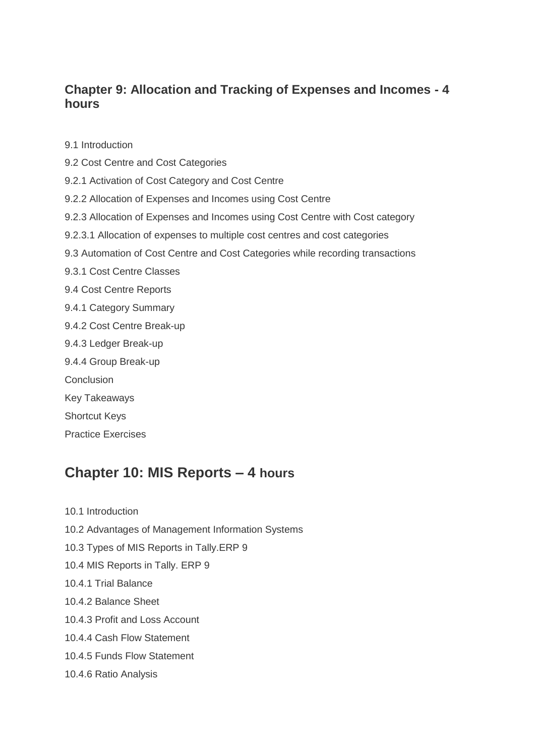#### **Chapter 9: Allocation and Tracking of Expenses and Incomes - 4 hours**

9.1 Introduction

- 9.2 Cost Centre and Cost Categories
- 9.2.1 Activation of Cost Category and Cost Centre
- 9.2.2 Allocation of Expenses and Incomes using Cost Centre
- 9.2.3 Allocation of Expenses and Incomes using Cost Centre with Cost category
- 9.2.3.1 Allocation of expenses to multiple cost centres and cost categories
- 9.3 Automation of Cost Centre and Cost Categories while recording transactions
- 9.3.1 Cost Centre Classes
- 9.4 Cost Centre Reports
- 9.4.1 Category Summary
- 9.4.2 Cost Centre Break-up
- 9.4.3 Ledger Break-up
- 9.4.4 Group Break-up
- **Conclusion**
- Key Takeaways
- Shortcut Keys
- Practice Exercises

### **Chapter 10: MIS Reports – 4 hours**

10.1 Introduction

- 10.2 Advantages of Management Information Systems
- 10.3 Types of MIS Reports in Tally.ERP 9
- 10.4 MIS Reports in Tally. ERP 9
- 10.4.1 Trial Balance
- 10.4.2 Balance Sheet
- 10.4.3 Profit and Loss Account
- 10.4.4 Cash Flow Statement
- 10.4.5 Funds Flow Statement
- 10.4.6 Ratio Analysis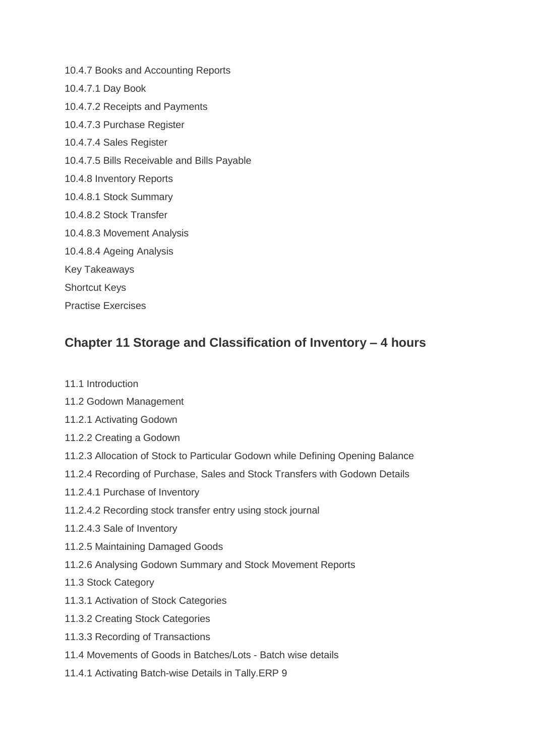10.4.7 Books and Accounting Reports 10.4.7.1 Day Book 10.4.7.2 Receipts and Payments 10.4.7.3 Purchase Register 10.4.7.4 Sales Register 10.4.7.5 Bills Receivable and Bills Payable 10.4.8 Inventory Reports 10.4.8.1 Stock Summary 10.4.8.2 Stock Transfer 10.4.8.3 Movement Analysis 10.4.8.4 Ageing Analysis Key Takeaways Shortcut Keys Practise Exercises

### **Chapter 11 Storage and Classification of Inventory – 4 hours**

- 11.1 Introduction
- 11.2 Godown Management
- 11.2.1 Activating Godown
- 11.2.2 Creating a Godown
- 11.2.3 Allocation of Stock to Particular Godown while Defining Opening Balance
- 11.2.4 Recording of Purchase, Sales and Stock Transfers with Godown Details
- 11.2.4.1 Purchase of Inventory
- 11.2.4.2 Recording stock transfer entry using stock journal
- 11.2.4.3 Sale of Inventory
- 11.2.5 Maintaining Damaged Goods
- 11.2.6 Analysing Godown Summary and Stock Movement Reports
- 11.3 Stock Category
- 11.3.1 Activation of Stock Categories
- 11.3.2 Creating Stock Categories
- 11.3.3 Recording of Transactions
- 11.4 Movements of Goods in Batches/Lots Batch wise details
- 11.4.1 Activating Batch-wise Details in Tally.ERP 9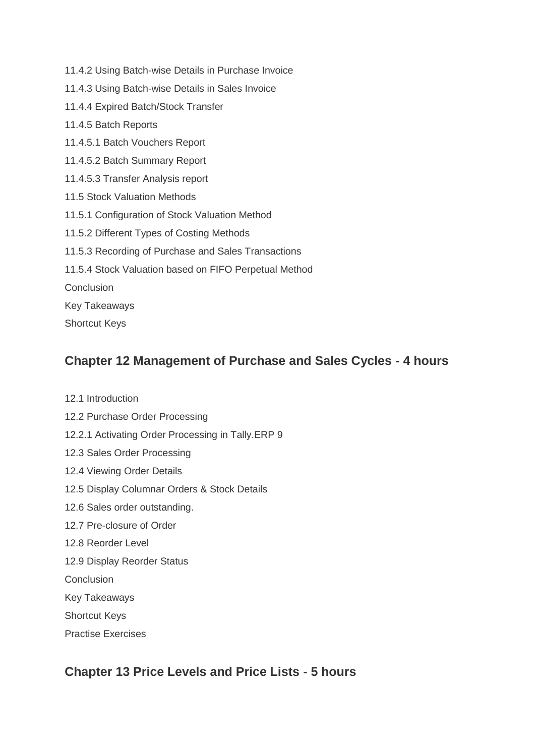- 11.4.2 Using Batch-wise Details in Purchase Invoice
- 11.4.3 Using Batch-wise Details in Sales Invoice
- 11.4.4 Expired Batch/Stock Transfer
- 11.4.5 Batch Reports
- 11.4.5.1 Batch Vouchers Report
- 11.4.5.2 Batch Summary Report
- 11.4.5.3 Transfer Analysis report
- 11.5 Stock Valuation Methods
- 11.5.1 Configuration of Stock Valuation Method
- 11.5.2 Different Types of Costing Methods
- 11.5.3 Recording of Purchase and Sales Transactions
- 11.5.4 Stock Valuation based on FIFO Perpetual Method
- **Conclusion**
- Key Takeaways
- Shortcut Keys

#### **Chapter 12 Management of Purchase and Sales Cycles - 4 hours**

- 12.1 Introduction
- 12.2 Purchase Order Processing
- 12.2.1 Activating Order Processing in Tally.ERP 9
- 12.3 Sales Order Processing
- 12.4 Viewing Order Details
- 12.5 Display Columnar Orders & Stock Details
- 12.6 Sales order outstanding.
- 12.7 Pre-closure of Order
- 12.8 Reorder Level
- 12.9 Display Reorder Status
- Conclusion
- Key Takeaways
- Shortcut Keys
- Practise Exercises

### **Chapter 13 Price Levels and Price Lists - 5 hours**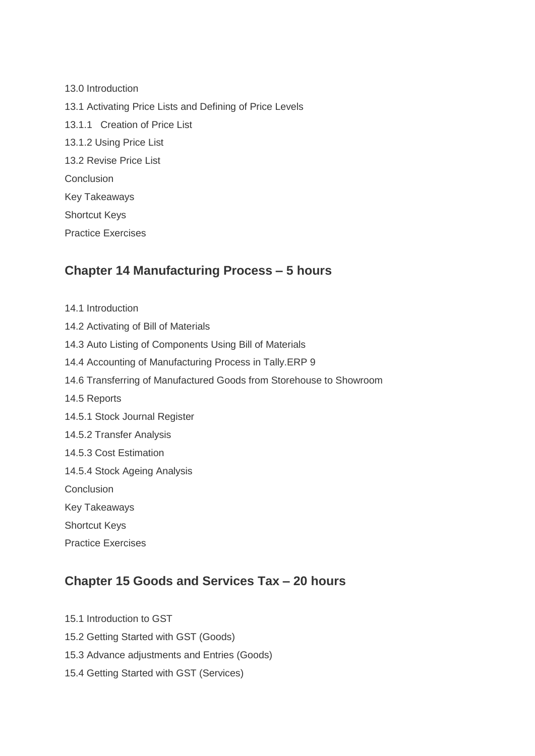13.0 Introduction 13.1 Activating Price Lists and Defining of Price Levels 13.1.1 Creation of Price List 13.1.2 Using Price List 13.2 Revise Price List **Conclusion** Key Takeaways Shortcut Keys Practice Exercises

#### **Chapter 14 Manufacturing Process – 5 hours**

14.1 Introduction 14.2 Activating of Bill of Materials 14.3 Auto Listing of Components Using Bill of Materials 14.4 Accounting of Manufacturing Process in Tally.ERP 9 14.6 Transferring of Manufactured Goods from Storehouse to Showroom 14.5 Reports 14.5.1 Stock Journal Register 14.5.2 Transfer Analysis 14.5.3 Cost Estimation 14.5.4 Stock Ageing Analysis **Conclusion** Key Takeaways Shortcut Keys Practice Exercises

# **Chapter 15 Goods and Services Tax – 20 hours**

- 15.1 Introduction to GST 15.2 Getting Started with GST (Goods) 15.3 Advance adjustments and Entries (Goods)
- 15.4 Getting Started with GST (Services)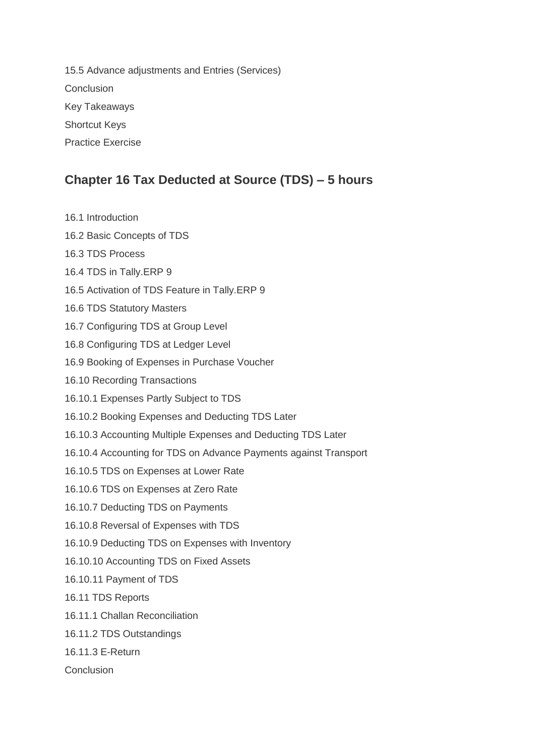15.5 Advance adjustments and Entries (Services) **Conclusion** Key Takeaways Shortcut Keys Practice Exercise

## **Chapter 16 Tax Deducted at Source (TDS) – 5 hours**

16.1 Introduction 16.2 Basic Concepts of TDS 16.3 TDS Process 16.4 TDS in Tally.ERP 9 16.5 Activation of TDS Feature in Tally.ERP 9 16.6 TDS Statutory Masters 16.7 Configuring TDS at Group Level 16.8 Configuring TDS at Ledger Level 16.9 Booking of Expenses in Purchase Voucher 16.10 Recording Transactions 16.10.1 Expenses Partly Subject to TDS 16.10.2 Booking Expenses and Deducting TDS Later 16.10.3 Accounting Multiple Expenses and Deducting TDS Later 16.10.4 Accounting for TDS on Advance Payments against Transport 16.10.5 TDS on Expenses at Lower Rate 16.10.6 TDS on Expenses at Zero Rate 16.10.7 Deducting TDS on Payments 16.10.8 Reversal of Expenses with TDS 16.10.9 Deducting TDS on Expenses with Inventory 16.10.10 Accounting TDS on Fixed Assets 16.10.11 Payment of TDS 16.11 TDS Reports 16.11.1 Challan Reconciliation 16.11.2 TDS Outstandings 16.11.3 E-Return Conclusion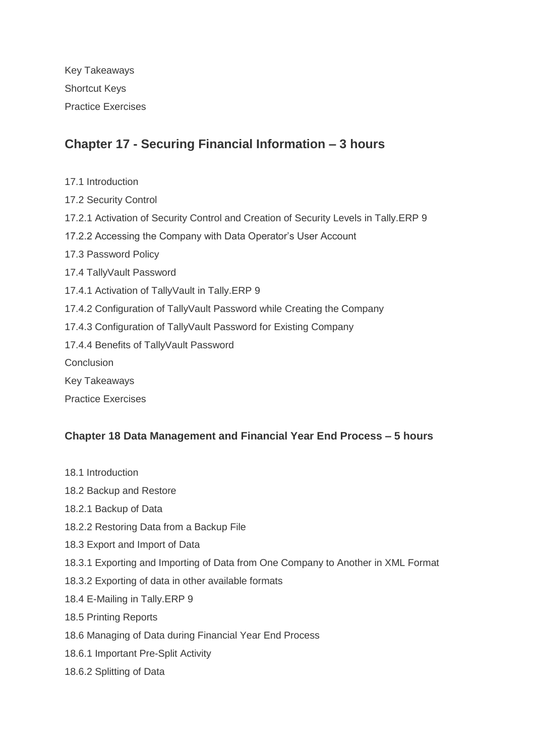Key Takeaways Shortcut Keys Practice Exercises

## **Chapter 17 - Securing Financial Information – 3 hours**

- 17.1 Introduction
- 17.2 Security Control
- 17.2.1 Activation of Security Control and Creation of Security Levels in Tally.ERP 9
- 17.2.2 Accessing the Company with Data Operator's User Account
- 17.3 Password Policy
- 17.4 TallyVault Password
- 17.4.1 Activation of TallyVault in Tally.ERP 9
- 17.4.2 Configuration of TallyVault Password while Creating the Company
- 17.4.3 Configuration of TallyVault Password for Existing Company
- 17.4.4 Benefits of TallyVault Password
- Conclusion
- Key Takeaways
- Practice Exercises

#### **Chapter 18 Data Management and Financial Year End Process – 5 hours**

- 18.1 Introduction
- 18.2 Backup and Restore
- 18.2.1 Backup of Data
- 18.2.2 Restoring Data from a Backup File
- 18.3 Export and Import of Data
- 18.3.1 Exporting and Importing of Data from One Company to Another in XML Format
- 18.3.2 Exporting of data in other available formats
- 18.4 E-Mailing in Tally.ERP 9
- 18.5 Printing Reports
- 18.6 Managing of Data during Financial Year End Process
- 18.6.1 Important Pre-Split Activity
- 18.6.2 Splitting of Data